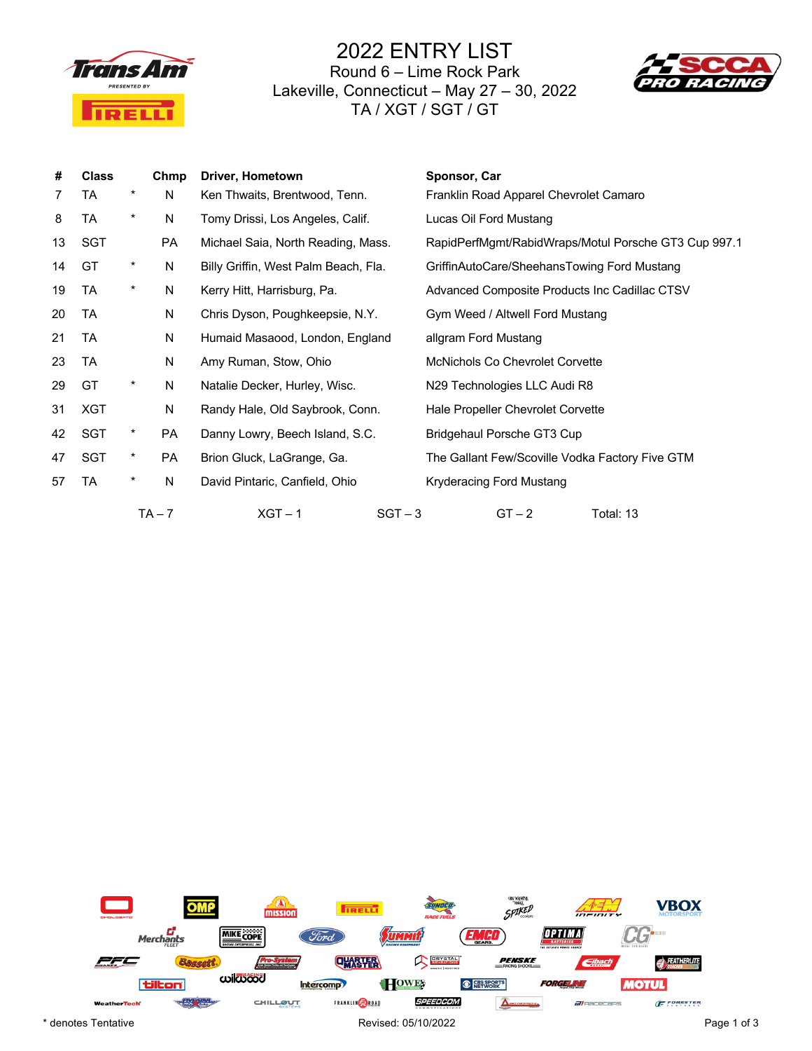

2022 ENTRY LIST Round 6 – Lime Rock Park Lakeville, Connecticut – May 27 – 30, 2022 TA / XGT / SGT / GT



| #  | <b>Class</b> |            | Chmp      | Driver, Hometown                     | Sponsor, Car                                         |
|----|--------------|------------|-----------|--------------------------------------|------------------------------------------------------|
| 7  | TA           | *          | N         | Ken Thwaits, Brentwood, Tenn.        | Franklin Road Apparel Chevrolet Camaro               |
| 8  | TA           | $\ast$     | N         | Tomy Drissi, Los Angeles, Calif.     | Lucas Oil Ford Mustang                               |
| 13 | SGT          |            | PA        | Michael Saia, North Reading, Mass.   | RapidPerfMgmt/RabidWraps/Motul Porsche GT3 Cup 997.1 |
| 14 | GT           | $\star$    | N         | Billy Griffin, West Palm Beach, Fla. | GriffinAutoCare/SheehansTowing Ford Mustang          |
| 19 | TA           | *          | N         | Kerry Hitt, Harrisburg, Pa.          | Advanced Composite Products Inc Cadillac CTSV        |
| 20 | TA           |            | N         | Chris Dyson, Poughkeepsie, N.Y.      | Gym Weed / Altwell Ford Mustang                      |
| 21 | TA           |            | N         | Humaid Masaood, London, England      | allgram Ford Mustang                                 |
| 23 | TA           |            | N         | Amy Ruman, Stow, Ohio                | <b>McNichols Co Chevrolet Corvette</b>               |
| 29 | GT           | *          | N         | Natalie Decker, Hurley, Wisc.        | N29 Technologies LLC Audi R8                         |
| 31 | XGT          |            | N         | Randy Hale, Old Saybrook, Conn.      | Hale Propeller Chevrolet Corvette                    |
| 42 | SGT          | $^{\star}$ | <b>PA</b> | Danny Lowry, Beech Island, S.C.      | Bridgehaul Porsche GT3 Cup                           |
| 47 | SGT          | $\star$    | PA        | Brion Gluck, LaGrange, Ga.           | The Gallant Few/Scoville Vodka Factory Five GTM      |
| 57 | TA           | *          | N         | David Pintaric, Canfield, Ohio       | Kryderacing Ford Mustang                             |
|    |              |            | $TA - 7$  | $XGT - 1$<br>$SGT - 3$               | $GT - 2$<br>Total: 13                                |

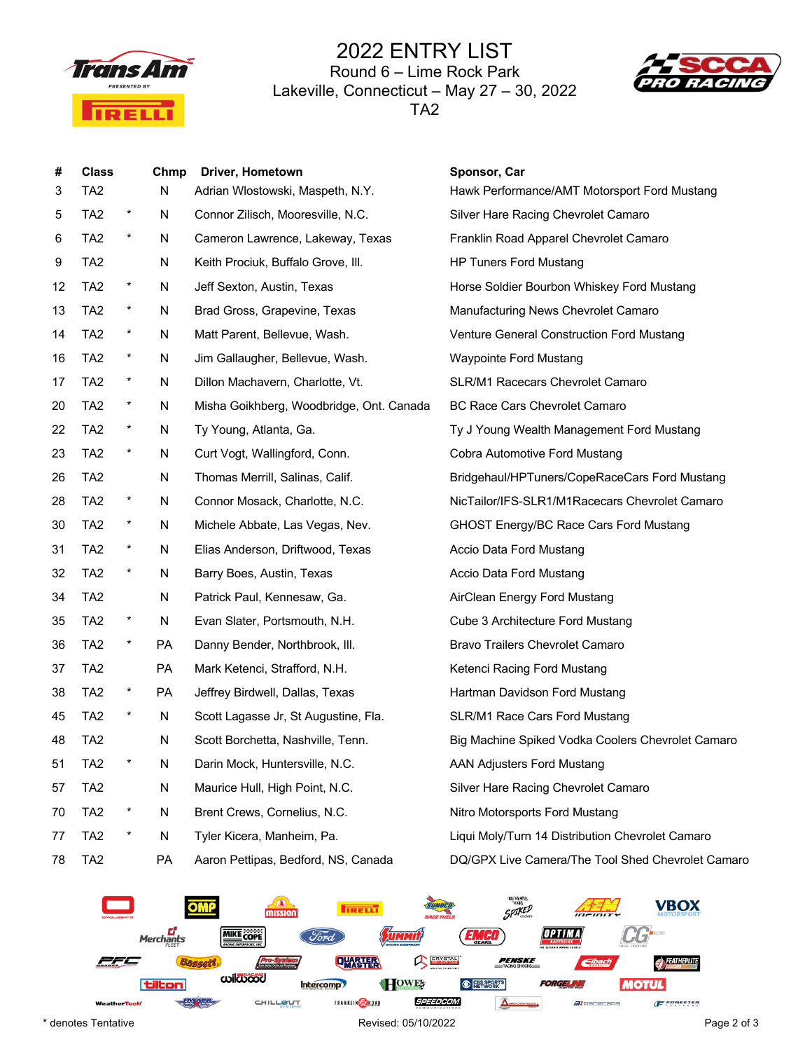

## 2022 ENTRY LIST Round 6 – Lime Rock Park Lakeville, Connecticut – May 27 – 30, 2022 TA2



| #<br>3 | <b>Class</b><br>TA <sub>2</sub> |          | Chmp<br>N | Driver, Hometown<br>Adrian Wlostowski, Maspeth, N.Y. | Sponsor, Car<br>Hawk Performance/AMT Motorsport Ford Mustang |
|--------|---------------------------------|----------|-----------|------------------------------------------------------|--------------------------------------------------------------|
| 5      | TA <sub>2</sub>                 | $^\star$ | N         | Connor Zilisch, Mooresville, N.C.                    | Silver Hare Racing Chevrolet Camaro                          |
| 6      | TA <sub>2</sub>                 | $^\star$ | N         | Cameron Lawrence, Lakeway, Texas                     | Franklin Road Apparel Chevrolet Camaro                       |
| 9      | TA <sub>2</sub>                 |          | N         | Keith Prociuk, Buffalo Grove, III.                   | <b>HP Tuners Ford Mustang</b>                                |
| 12     | TA <sub>2</sub>                 | $^\star$ | N         | Jeff Sexton, Austin, Texas                           | Horse Soldier Bourbon Whiskey Ford Mustang                   |
| 13     | TA <sub>2</sub>                 | $\star$  | N         | Brad Gross, Grapevine, Texas                         | Manufacturing News Chevrolet Camaro                          |
| 14     | TA <sub>2</sub>                 | $\star$  | N         | Matt Parent, Bellevue, Wash.                         | Venture General Construction Ford Mustang                    |
| 16     | TA <sub>2</sub>                 | $^\star$ | N         | Jim Gallaugher, Bellevue, Wash.                      | Waypointe Ford Mustang                                       |
| 17     | TA <sub>2</sub>                 | $\star$  | N         | Dillon Machavern, Charlotte, Vt.                     | SLR/M1 Racecars Chevrolet Camaro                             |
| 20     | TA <sub>2</sub>                 | $^\star$ | N         | Misha Goikhberg, Woodbridge, Ont. Canada             | <b>BC Race Cars Chevrolet Camaro</b>                         |
| 22     | TA <sub>2</sub>                 | $^\star$ | N         | Ty Young, Atlanta, Ga.                               | Ty J Young Wealth Management Ford Mustang                    |
| 23     | TA <sub>2</sub>                 | $^\star$ | N         | Curt Vogt, Wallingford, Conn.                        | Cobra Automotive Ford Mustang                                |
| 26     | TA <sub>2</sub>                 |          | N         | Thomas Merrill, Salinas, Calif.                      | Bridgehaul/HPTuners/CopeRaceCars Ford Mustang                |
| 28     | TA <sub>2</sub>                 | $^\star$ | N         | Connor Mosack, Charlotte, N.C.                       | NicTailor/IFS-SLR1/M1Racecars Chevrolet Camaro               |
| 30     | TA <sub>2</sub>                 | $^\star$ | N         | Michele Abbate, Las Vegas, Nev.                      | GHOST Energy/BC Race Cars Ford Mustang                       |
| 31     | TA <sub>2</sub>                 | $\star$  | N         | Elias Anderson, Driftwood, Texas                     | Accio Data Ford Mustang                                      |
| 32     | TA <sub>2</sub>                 | $^\star$ | N         | Barry Boes, Austin, Texas                            | Accio Data Ford Mustang                                      |
| 34     | TA <sub>2</sub>                 |          | N         | Patrick Paul, Kennesaw, Ga.                          | AirClean Energy Ford Mustang                                 |
| 35     | TA <sub>2</sub>                 | $\star$  | N         | Evan Slater, Portsmouth, N.H.                        | Cube 3 Architecture Ford Mustang                             |
| 36     | TA <sub>2</sub>                 | $^\star$ | <b>PA</b> | Danny Bender, Northbrook, III.                       | Bravo Trailers Chevrolet Camaro                              |
| 37     | TA <sub>2</sub>                 |          | <b>PA</b> | Mark Ketenci, Strafford, N.H.                        | Ketenci Racing Ford Mustang                                  |
| 38     | TA <sub>2</sub>                 | $\star$  | <b>PA</b> | Jeffrey Birdwell, Dallas, Texas                      | Hartman Davidson Ford Mustang                                |
| 45     | TA <sub>2</sub>                 | $^\star$ | N         | Scott Lagasse Jr, St Augustine, Fla.                 | SLR/M1 Race Cars Ford Mustang                                |
| 48     | TA <sub>2</sub>                 |          | N         | Scott Borchetta, Nashville, Tenn.                    | Big Machine Spiked Vodka Coolers Chevrolet Camaro            |
| 51     | TA <sub>2</sub>                 | *        | N         | Darin Mock, Huntersville, N.C.                       | <b>AAN Adjusters Ford Mustang</b>                            |
| 57     | TA <sub>2</sub>                 |          | N         | Maurice Hull, High Point, N.C.                       | Silver Hare Racing Chevrolet Camaro                          |
| 70     | TA <sub>2</sub>                 | $\star$  | N         | Brent Crews, Cornelius, N.C.                         | Nitro Motorsports Ford Mustang                               |
| 77     | TA <sub>2</sub>                 | $^\star$ | N         | Tyler Kicera, Manheim, Pa.                           | Liqui Moly/Turn 14 Distribution Chevrolet Camaro             |
| 78     | TA <sub>2</sub>                 |          | PA        | Aaron Pettipas, Bedford, NS, Canada                  | DQ/GPX Live Camera/The Tool Shed Chevrolet Camaro            |